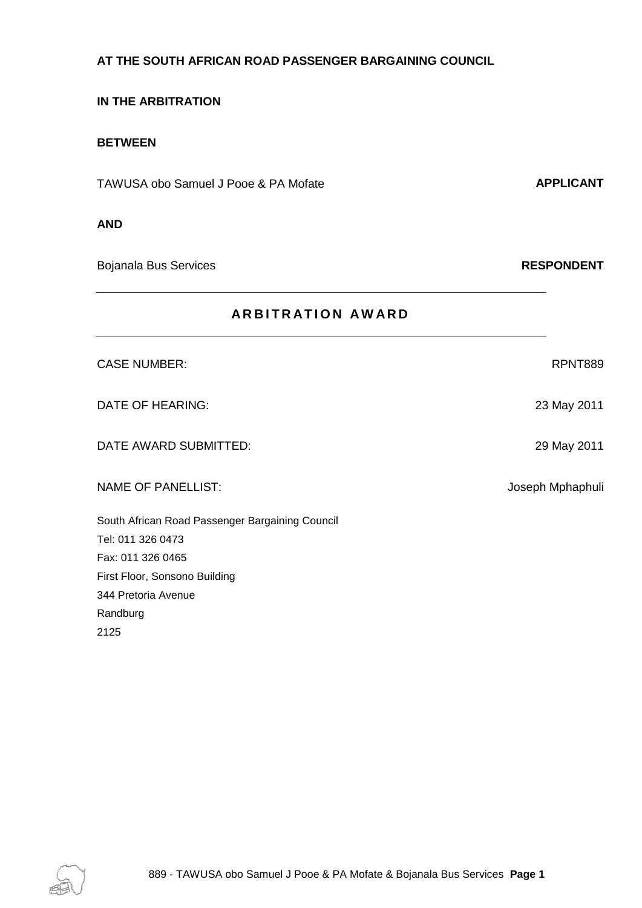#### **AT THE SOUTH AFRICAN ROAD PASSENGER BARGAINING COUNCIL**

### **IN THE ARBITRATION**

### **BETWEEN**

TAWUSA obo Samuel J Pooe & PA Mofate **APPLICANT** 

#### **AND**

Bojanala Bus Services **RESPONDENT**

| <b>ARBITRATION AWARD</b>                        |                  |
|-------------------------------------------------|------------------|
| <b>CASE NUMBER:</b>                             | RPNT889          |
| <b>DATE OF HEARING:</b>                         | 23 May 2011      |
| DATE AWARD SUBMITTED:                           | 29 May 2011      |
| <b>NAME OF PANELLIST:</b>                       | Joseph Mphaphuli |
| South African Road Passenger Bargaining Council |                  |
| Tel: 011 326 0473                               |                  |
| Fax: 011 326 0465                               |                  |
| First Floor, Sonsono Building                   |                  |
| 344 Pretoria Avenue                             |                  |
| Randburg                                        |                  |
| 2125                                            |                  |

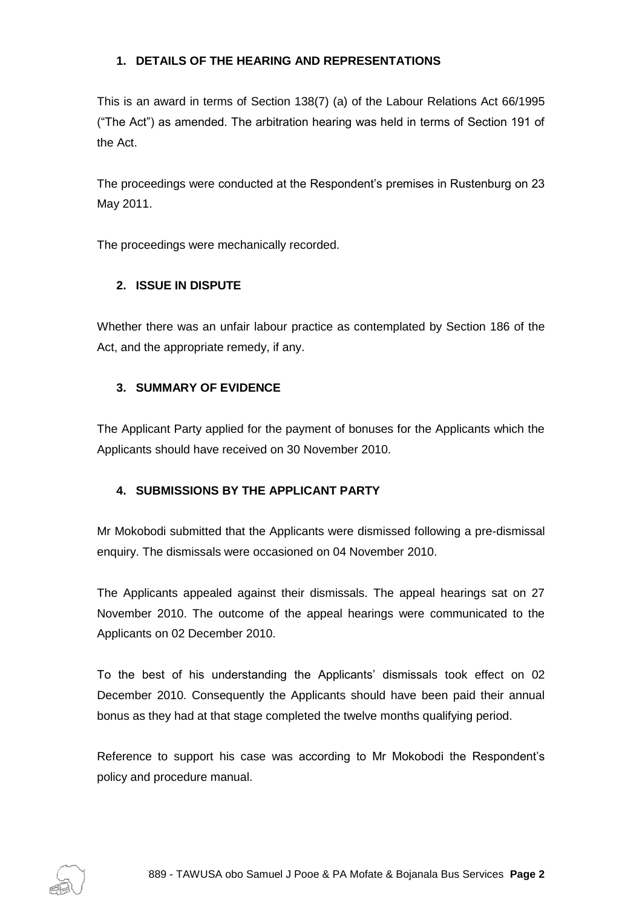## **1. DETAILS OF THE HEARING AND REPRESENTATIONS**

This is an award in terms of Section 138(7) (a) of the Labour Relations Act 66/1995 ("The Act") as amended. The arbitration hearing was held in terms of Section 191 of the Act.

The proceedings were conducted at the Respondent's premises in Rustenburg on 23 May 2011.

The proceedings were mechanically recorded.

# **2. ISSUE IN DISPUTE**

Whether there was an unfair labour practice as contemplated by Section 186 of the Act, and the appropriate remedy, if any.

# **3. SUMMARY OF EVIDENCE**

The Applicant Party applied for the payment of bonuses for the Applicants which the Applicants should have received on 30 November 2010.

# **4. SUBMISSIONS BY THE APPLICANT PARTY**

Mr Mokobodi submitted that the Applicants were dismissed following a pre-dismissal enquiry. The dismissals were occasioned on 04 November 2010.

The Applicants appealed against their dismissals. The appeal hearings sat on 27 November 2010. The outcome of the appeal hearings were communicated to the Applicants on 02 December 2010.

To the best of his understanding the Applicants' dismissals took effect on 02 December 2010. Consequently the Applicants should have been paid their annual bonus as they had at that stage completed the twelve months qualifying period.

Reference to support his case was according to Mr Mokobodi the Respondent's policy and procedure manual.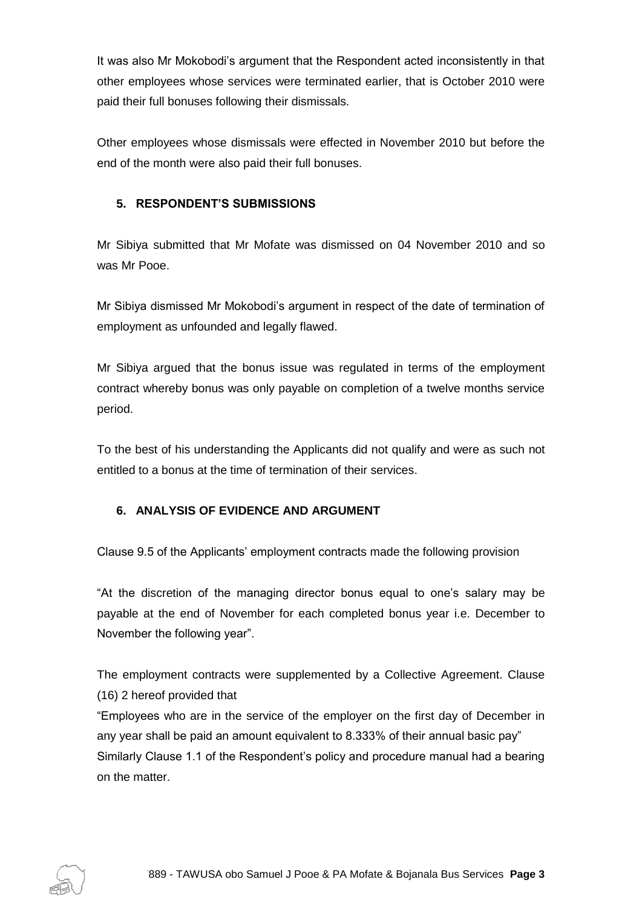It was also Mr Mokobodi's argument that the Respondent acted inconsistently in that other employees whose services were terminated earlier, that is October 2010 were paid their full bonuses following their dismissals.

Other employees whose dismissals were effected in November 2010 but before the end of the month were also paid their full bonuses.

## **5. RESPONDENT'S SUBMISSIONS**

Mr Sibiya submitted that Mr Mofate was dismissed on 04 November 2010 and so was Mr Pooe.

Mr Sibiya dismissed Mr Mokobodi's argument in respect of the date of termination of employment as unfounded and legally flawed.

Mr Sibiya argued that the bonus issue was regulated in terms of the employment contract whereby bonus was only payable on completion of a twelve months service period.

To the best of his understanding the Applicants did not qualify and were as such not entitled to a bonus at the time of termination of their services.

### **6. ANALYSIS OF EVIDENCE AND ARGUMENT**

Clause 9.5 of the Applicants' employment contracts made the following provision

"At the discretion of the managing director bonus equal to one's salary may be payable at the end of November for each completed bonus year i.e. December to November the following year".

The employment contracts were supplemented by a Collective Agreement. Clause (16) 2 hereof provided that

"Employees who are in the service of the employer on the first day of December in any year shall be paid an amount equivalent to 8.333% of their annual basic pay" Similarly Clause 1.1 of the Respondent's policy and procedure manual had a bearing on the matter.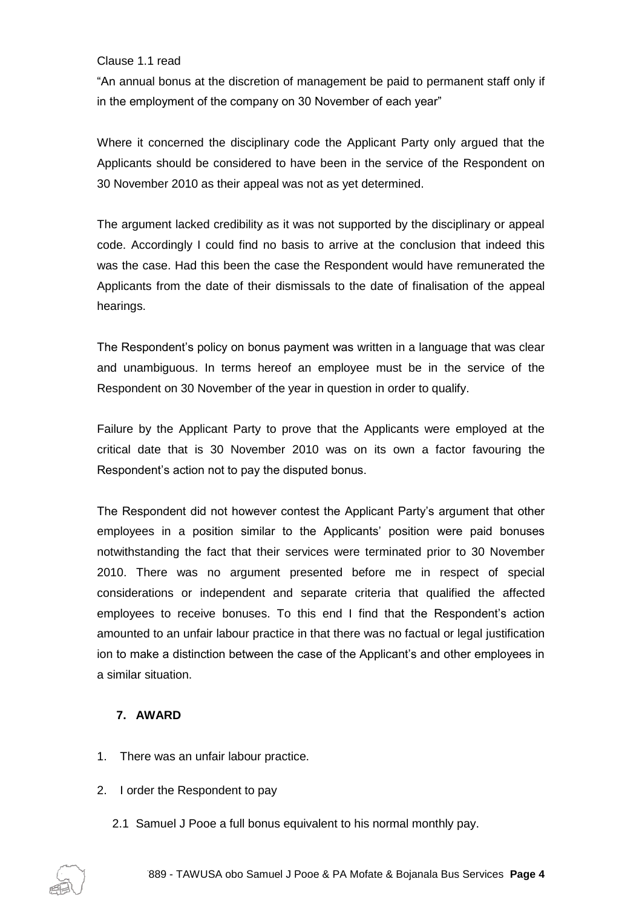#### Clause 1.1 read

"An annual bonus at the discretion of management be paid to permanent staff only if in the employment of the company on 30 November of each year"

Where it concerned the disciplinary code the Applicant Party only argued that the Applicants should be considered to have been in the service of the Respondent on 30 November 2010 as their appeal was not as yet determined.

The argument lacked credibility as it was not supported by the disciplinary or appeal code. Accordingly I could find no basis to arrive at the conclusion that indeed this was the case. Had this been the case the Respondent would have remunerated the Applicants from the date of their dismissals to the date of finalisation of the appeal hearings.

The Respondent's policy on bonus payment was written in a language that was clear and unambiguous. In terms hereof an employee must be in the service of the Respondent on 30 November of the year in question in order to qualify.

Failure by the Applicant Party to prove that the Applicants were employed at the critical date that is 30 November 2010 was on its own a factor favouring the Respondent's action not to pay the disputed bonus.

The Respondent did not however contest the Applicant Party's argument that other employees in a position similar to the Applicants' position were paid bonuses notwithstanding the fact that their services were terminated prior to 30 November 2010. There was no argument presented before me in respect of special considerations or independent and separate criteria that qualified the affected employees to receive bonuses. To this end I find that the Respondent's action amounted to an unfair labour practice in that there was no factual or legal justification ion to make a distinction between the case of the Applicant's and other employees in a similar situation.

### **7. AWARD**

- 1. There was an unfair labour practice.
- 2. I order the Respondent to pay
	- 2.1 Samuel J Pooe a full bonus equivalent to his normal monthly pay.